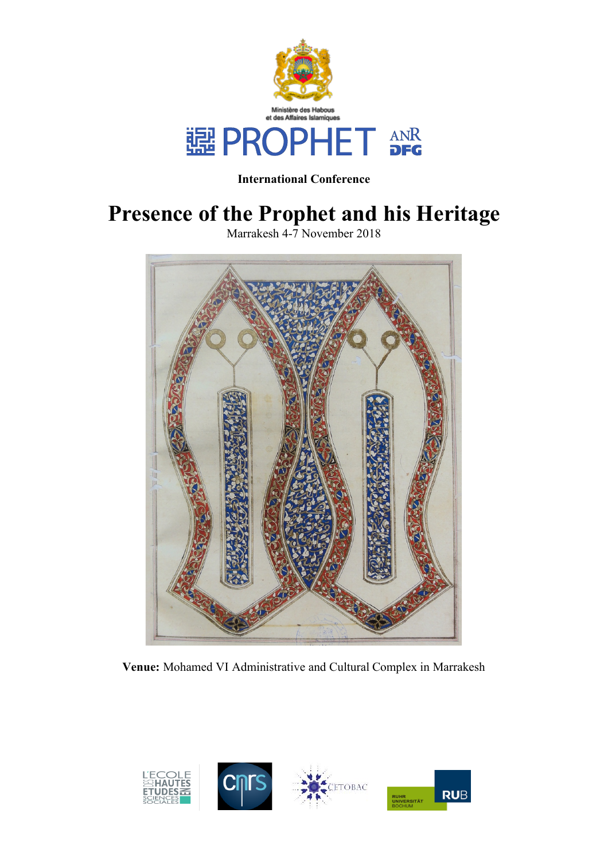

**International Conference**

# **Presence of the Prophet and his Heritage**

Marrakesh 4-7 November 2018



**Venue:** Mohamed VI Administrative and Cultural Complex in Marrakesh

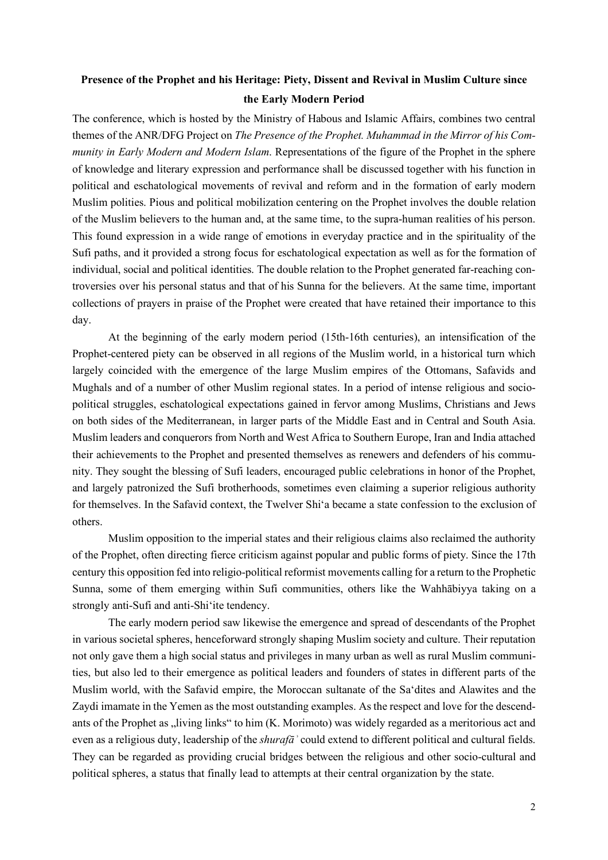# **Presence of the Prophet and his Heritage: Piety, Dissent and Revival in Muslim Culture since the Early Modern Period**

The conference, which is hosted by the Ministry of Habous and Islamic Affairs, combines two central themes of the ANR/DFG Project on *The Presence of the Prophet. Muhammad in the Mirror of his Community in Early Modern and Modern Islam*. Representations of the figure of the Prophet in the sphere of knowledge and literary expression and performance shall be discussed together with his function in political and eschatological movements of revival and reform and in the formation of early modern Muslim polities. Pious and political mobilization centering on the Prophet involves the double relation of the Muslim believers to the human and, at the same time, to the supra-human realities of his person. This found expression in a wide range of emotions in everyday practice and in the spirituality of the Sufi paths, and it provided a strong focus for eschatological expectation as well as for the formation of individual, social and political identities. The double relation to the Prophet generated far-reaching controversies over his personal status and that of his Sunna for the believers. At the same time, important collections of prayers in praise of the Prophet were created that have retained their importance to this day.

At the beginning of the early modern period (15th-16th centuries), an intensification of the Prophet-centered piety can be observed in all regions of the Muslim world, in a historical turn which largely coincided with the emergence of the large Muslim empires of the Ottomans, Safavids and Mughals and of a number of other Muslim regional states. In a period of intense religious and sociopolitical struggles, eschatological expectations gained in fervor among Muslims, Christians and Jews on both sides of the Mediterranean, in larger parts of the Middle East and in Central and South Asia. Muslim leaders and conquerors from North and West Africa to Southern Europe, Iran and India attached their achievements to the Prophet and presented themselves as renewers and defenders of his community. They sought the blessing of Sufi leaders, encouraged public celebrations in honor of the Prophet, and largely patronized the Sufi brotherhoods, sometimes even claiming a superior religious authority for themselves. In the Safavid context, the Twelver Shi'a became a state confession to the exclusion of others.

Muslim opposition to the imperial states and their religious claims also reclaimed the authority of the Prophet, often directing fierce criticism against popular and public forms of piety. Since the 17th century this opposition fed into religio-political reformist movements calling for a return to the Prophetic Sunna, some of them emerging within Sufi communities, others like the Wahhābiyya taking on a strongly anti-Sufi and anti-Shi'ite tendency.

The early modern period saw likewise the emergence and spread of descendants of the Prophet in various societal spheres, henceforward strongly shaping Muslim society and culture. Their reputation not only gave them a high social status and privileges in many urban as well as rural Muslim communities, but also led to their emergence as political leaders and founders of states in different parts of the Muslim world, with the Safavid empire, the Moroccan sultanate of the Sa'dites and Alawites and the Zaydi imamate in the Yemen as the most outstanding examples. As the respect and love for the descendants of the Prophet as "living links" to him (K. Morimoto) was widely regarded as a meritorious act and even as a religious duty, leadership of the *shurafāʾ* could extend to different political and cultural fields. They can be regarded as providing crucial bridges between the religious and other socio-cultural and political spheres, a status that finally lead to attempts at their central organization by the state.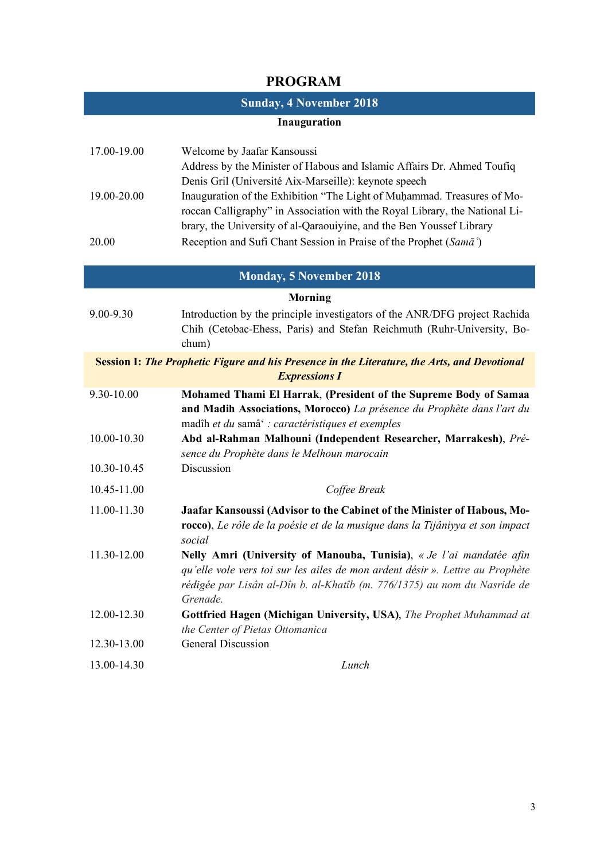# **PROGRAM**

## **Sunday, 4 November 2018**

#### **Inauguration**

| 17.00-19.00 | Welcome by Jaafar Kansoussi                                                 |
|-------------|-----------------------------------------------------------------------------|
|             | Address by the Minister of Habous and Islamic Affairs Dr. Ahmed Toufiq      |
|             | Denis Gril (Université Aix-Marseille): keynote speech                       |
| 19.00-20.00 | Inauguration of the Exhibition "The Light of Muhammad. Treasures of Mo-     |
|             | roccan Calligraphy" in Association with the Royal Library, the National Li- |
|             | brary, the University of al-Qaraouiyine, and the Ben Youssef Library        |
| 20.00       | Reception and Sufi Chant Session in Praise of the Prophet (Sama)            |

### **Monday, 5 November 2018**

#### **Morning**

- 9.00-9.30 Introduction by the principle investigators of the ANR/DFG project Rachida Chih (Cetobac-Ehess, Paris) and Stefan Reichmuth (Ruhr-University, Bochum) **Session I:** *The Prophetic Figure and his Presence in the Literature, the Arts, and Devotional Expressions I*
- 9.30-10.00 **Mohamed Thami El Harrak**, **(President of the Supreme Body of Samaa and Madih Associations, Morocco)** *La présence du Prophète dans l'art du*  madîh *et du* samâ' *: caractéristiques et exemples*
- 10.00-10.30 **Abd al-Rahman Malhouni (Independent Researcher, Marrakesh)**, *Présence du Prophète dans le Melhoun marocain*
- 10.30-10.45 Discussion
- 10.45-11.00 *Coffee Break* 11.00-11.30 **Jaafar Kansoussi (Advisor to the Cabinet of the Minister of Habous, Morocco)**, *Le rôle de la poésie et de la musique dans la Tijâniyya et son impact* 
	- *social* 11.30-12.00 **Nelly Amri (University of Manouba, Tunisia)**, *« Je l'ai mandatée afin qu'elle vole vers toi sur les ailes de mon ardent désir ». Lettre au Prophète rédigée par Lisân al-Dîn b. al-Khatîb (m. 776/1375) au nom du Nasride de Grenade.*
	- 12.00-12.30 **Gottfried Hagen (Michigan University, USA)**, *The Prophet Muhammad at the Center of Pietas Ottomanica* 12.30-13.00 General Discussion
	- 13.00-14.30 *Lunch*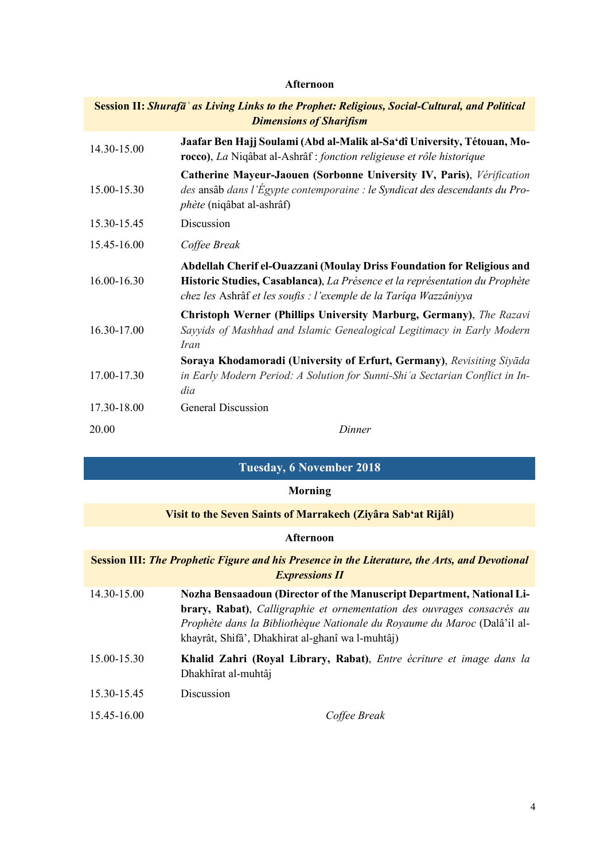## **Afternoon**

| Session II: Shurafā' as Living Links to the Prophet: Religious, Social-Cultural, and Political<br><b>Dimensions of Sharifism</b> |                                                                                                                                                                                                                            |
|----------------------------------------------------------------------------------------------------------------------------------|----------------------------------------------------------------------------------------------------------------------------------------------------------------------------------------------------------------------------|
| 14.30-15.00                                                                                                                      | Jaafar Ben Hajj Soulami (Abd al-Malik al-Sa'dî University, Tétouan, Mo-<br>rocco), La Niqâbat al-Ashrâf : fonction religieuse et rôle historique                                                                           |
| 15.00-15.30                                                                                                                      | Catherine Mayeur-Jaouen (Sorbonne University IV, Paris), Vérification<br>des ansâb dans l'Égypte contemporaine : le Syndicat des descendants du Pro-<br><i>phète</i> (niqâbat al-ashrâf)                                   |
| 15.30-15.45                                                                                                                      | Discussion                                                                                                                                                                                                                 |
| 15.45-16.00                                                                                                                      | Coffee Break                                                                                                                                                                                                               |
| 16.00-16.30                                                                                                                      | Abdellah Cherif el-Ouazzani (Moulay Driss Foundation for Religious and<br>Historic Studies, Casablanca), La Présence et la représentation du Prophète<br>chez les Ashrâf et les soufis : l'exemple de la Tarîqa Wazzâniyya |
| 16.30-17.00                                                                                                                      | Christoph Werner (Phillips University Marburg, Germany), The Razavi<br>Sayyids of Mashhad and Islamic Genealogical Legitimacy in Early Modern<br><i>Iran</i>                                                               |
| 17.00-17.30                                                                                                                      | Soraya Khodamoradi (University of Erfurt, Germany), Revisiting Siyada<br>in Early Modern Period: A Solution for Sunni-Shi'a Sectarian Conflict in In-<br>dia                                                               |
| 17.30-18.00                                                                                                                      | <b>General Discussion</b>                                                                                                                                                                                                  |
| 20.00                                                                                                                            | Dinner                                                                                                                                                                                                                     |

# **Tuesday, 6 November 2018**

## **Morning**

# **Visit to the Seven Saints of Marrakech (Ziyâra Sab'at Rijâl)**

## **Afternoon**

| <b>Session III: The Prophetic Figure and his Presence in the Literature, the Arts, and Devotional</b><br><b>Expressions II</b> |                                                                                                                                                                                                                                                                                        |
|--------------------------------------------------------------------------------------------------------------------------------|----------------------------------------------------------------------------------------------------------------------------------------------------------------------------------------------------------------------------------------------------------------------------------------|
| 14.30-15.00                                                                                                                    | <b>Nozha Bensaadoun (Director of the Manuscript Department, National Li-</b><br>brary, Rabat), Calligraphie et ornementation des ouvrages consacrés au<br>Prophète dans la Bibliothèque Nationale du Royaume du Maroc (Dalâ'il al-<br>khayrât, Shifâ', Dhakhirat al-ghanî wa l-muhtâj) |

- 15.00-15.30 **Khalid Zahri (Royal Library, Rabat)**, *Entre écriture et image dans la*  Dhakhîrat al-muhtâj
- 15.30-15.45 Discussion

| Coffee Break |
|--------------|
|              |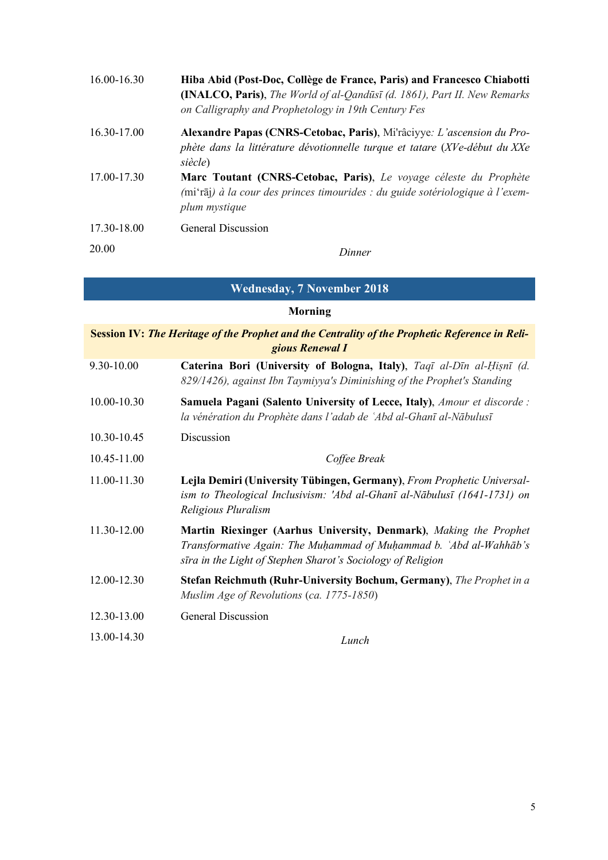| 16.00-16.30 | Hiba Abid (Post-Doc, Collège de France, Paris) and Francesco Chiabotti<br><b>(INALCO, Paris)</b> , The World of al-Qandust (d. 1861), Part II. New Remarks<br>on Calligraphy and Prophetology in 19th Century Fes |
|-------------|-------------------------------------------------------------------------------------------------------------------------------------------------------------------------------------------------------------------|
| 16.30-17.00 | Alexandre Papas (CNRS-Cetobac, Paris), Mi'râciyye: L'ascension du Pro-<br>phète dans la littérature dévotionnelle turque et tatare (XVe-début du XXe<br>siècle)                                                   |
| 17.00-17.30 | Marc Toutant (CNRS-Cetobac, Paris), Le voyage céleste du Prophète<br>(mi'raj) à la cour des princes timourides : du guide sotériologique à l'exem-<br>plum mystique                                               |
| 17.30-18.00 | General Discussion                                                                                                                                                                                                |
| 20.00       | Dinner                                                                                                                                                                                                            |

**Wednesday, 7 November 2018**

# **Morning**

| Session IV: The Heritage of the Prophet and the Centrality of the Prophetic Reference in Reli-<br>gious Renewal I |                                                                                                                                                                                                        |
|-------------------------------------------------------------------------------------------------------------------|--------------------------------------------------------------------------------------------------------------------------------------------------------------------------------------------------------|
| 9.30-10.00                                                                                                        | Caterina Bori (University of Bologna, Italy), Taqī al-Dīn al-Ḥiṣnī (d.<br>829/1426), against Ibn Taymiyya's Diminishing of the Prophet's Standing                                                      |
| 10.00-10.30                                                                                                       | <b>Samuela Pagani (Salento University of Lecce, Italy)</b> , Amour et discorde :<br>la vénération du Prophète dans l'adab de 'Abd al-Ghanī al-Nābulusī                                                 |
| 10.30-10.45                                                                                                       | Discussion                                                                                                                                                                                             |
| 10.45-11.00                                                                                                       | Coffee Break                                                                                                                                                                                           |
| 11.00-11.30                                                                                                       | Lejla Demiri (University Tübingen, Germany), From Prophetic Universal-<br>ism to Theological Inclusivism: 'Abd al-Ghanī al-Nābulusī (1641-1731) on<br>Religious Pluralism                              |
| 11.30-12.00                                                                                                       | Martin Riexinger (Aarhus University, Denmark), Making the Prophet<br>Transformative Again: The Muhammad of Muhammad b. `Abd al-Wahhāb's<br>sīra in the Light of Stephen Sharot's Sociology of Religion |
| 12.00-12.30                                                                                                       | <b>Stefan Reichmuth (Ruhr-University Bochum, Germany)</b> , The Prophet in a<br>Muslim Age of Revolutions (ca. 1775-1850)                                                                              |
| 12.30-13.00                                                                                                       | <b>General Discussion</b>                                                                                                                                                                              |
| 13.00-14.30                                                                                                       | Lunch                                                                                                                                                                                                  |